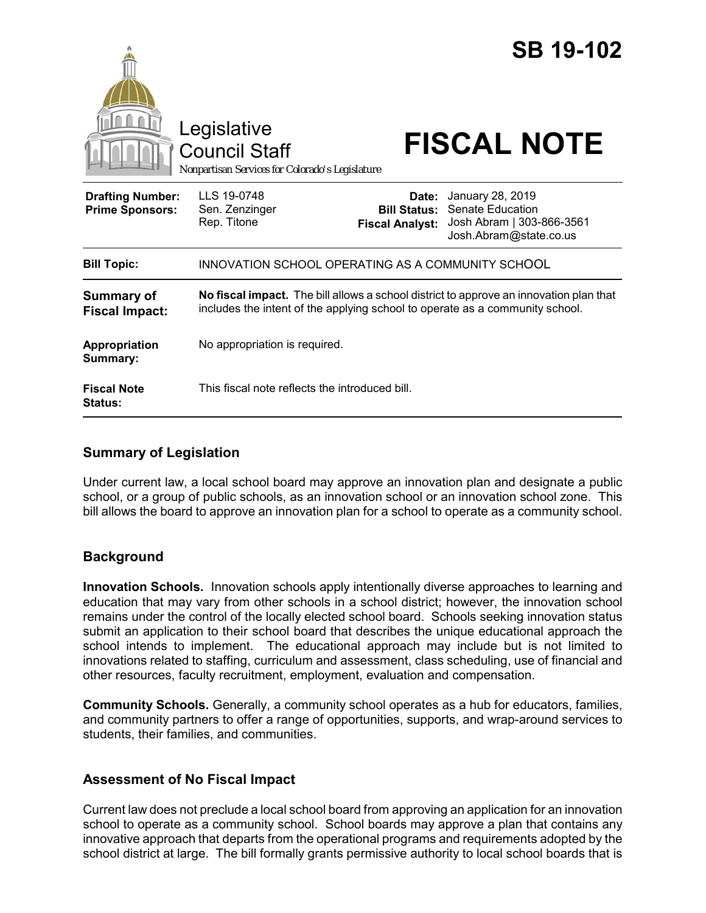|                                                   | Legislative<br><b>Council Staff</b><br>Nonpartisan Services for Colorado's Legislature                                                                                 |                                 | <b>SB 19-102</b><br><b>FISCAL NOTE</b>                                                                          |
|---------------------------------------------------|------------------------------------------------------------------------------------------------------------------------------------------------------------------------|---------------------------------|-----------------------------------------------------------------------------------------------------------------|
| <b>Drafting Number:</b><br><b>Prime Sponsors:</b> | LLS 19-0748<br>Sen. Zenzinger<br>Rep. Titone                                                                                                                           | Date:<br><b>Fiscal Analyst:</b> | January 28, 2019<br><b>Bill Status: Senate Education</b><br>Josh Abram   303-866-3561<br>Josh.Abram@state.co.us |
| <b>Bill Topic:</b>                                | INNOVATION SCHOOL OPERATING AS A COMMUNITY SCHOOL                                                                                                                      |                                 |                                                                                                                 |
| <b>Summary of</b><br><b>Fiscal Impact:</b>        | No fiscal impact. The bill allows a school district to approve an innovation plan that<br>includes the intent of the applying school to operate as a community school. |                                 |                                                                                                                 |
| Appropriation<br>Summary:                         | No appropriation is required.                                                                                                                                          |                                 |                                                                                                                 |
| <b>Fiscal Note</b><br>Status:                     | This fiscal note reflects the introduced bill.                                                                                                                         |                                 |                                                                                                                 |

### **Summary of Legislation**

Under current law, a local school board may approve an innovation plan and designate a public school, or a group of public schools, as an innovation school or an innovation school zone. This bill allows the board to approve an innovation plan for a school to operate as a community school.

# **Background**

**Innovation Schools.** Innovation schools apply intentionally diverse approaches to learning and education that may vary from other schools in a school district; however, the innovation school remains under the control of the locally elected school board. Schools seeking innovation status submit an application to their school board that describes the unique educational approach the school intends to implement. The educational approach may include but is not limited to innovations related to staffing, curriculum and assessment, class scheduling, use of financial and other resources, faculty recruitment, employment, evaluation and compensation.

**Community Schools.** Generally, a community school operates as a hub for educators, families, and community partners to offer a range of opportunities, supports, and wrap-around services to students, their families, and communities.

# **Assessment of No Fiscal Impact**

Current law does not preclude a local school board from approving an application for an innovation school to operate as a community school. School boards may approve a plan that contains any innovative approach that departs from the operational programs and requirements adopted by the school district at large. The bill formally grants permissive authority to local school boards that is